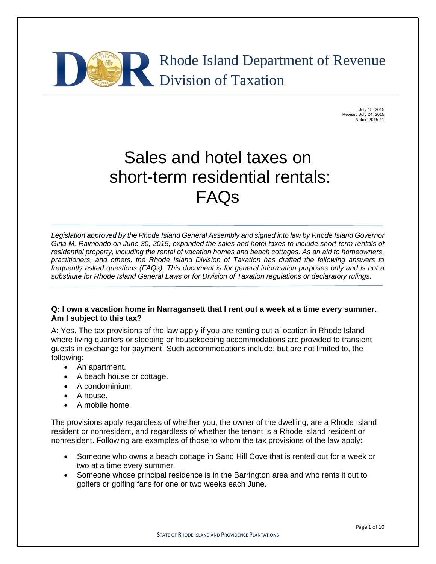

July 15, 2015 Revised July 24, 2015 Notice 2015-11

# Sales and hotel taxes on short-term residential rentals: FAQs

*Legislation approved by the Rhode Island General Assembly and signed into law by Rhode Island Governor Gina M. Raimondo on June 30, 2015, expanded the sales and hotel taxes to include short-term rentals of residential property, including the rental of vacation homes and beach cottages. As an aid to homeowners, practitioners, and others, the Rhode Island Division of Taxation has drafted the following answers to frequently asked questions (FAQs). This document is for general information purposes only and is not a substitute for Rhode Island General Laws or for Division of Taxation regulations or declaratory rulings.* 

# **Q: I own a vacation home in Narragansett that I rent out a week at a time every summer. Am I subject to this tax?**

A: Yes. The tax provisions of the law apply if you are renting out a location in Rhode Island where living quarters or sleeping or housekeeping accommodations are provided to transient guests in exchange for payment. Such accommodations include, but are not limited to, the following:

- An apartment.
- A beach house or cottage.
- A condominium.
- A house.

L,

A mobile home.

The provisions apply regardless of whether you, the owner of the dwelling, are a Rhode Island resident or nonresident, and regardless of whether the tenant is a Rhode Island resident or nonresident. Following are examples of those to whom the tax provisions of the law apply:

- Someone who owns a beach cottage in Sand Hill Cove that is rented out for a week or two at a time every summer.
- Someone whose principal residence is in the Barrington area and who rents it out to golfers or golfing fans for one or two weeks each June.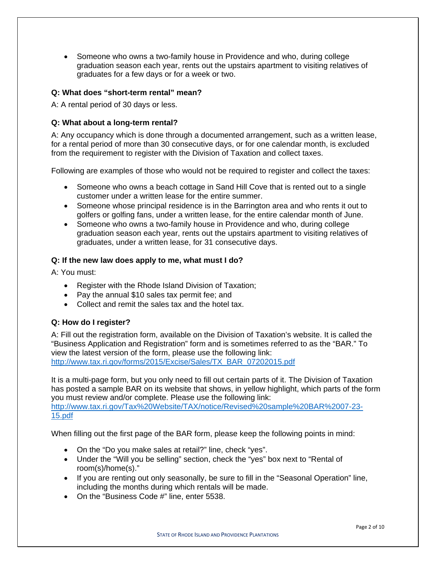• Someone who owns a two-family house in Providence and who, during college graduation season each year, rents out the upstairs apartment to visiting relatives of graduates for a few days or for a week or two.

# **Q: What does "short-term rental" mean?**

A: A rental period of 30 days or less.

# **Q: What about a long-term rental?**

A: Any occupancy which is done through a documented arrangement, such as a written lease, for a rental period of more than 30 consecutive days, or for one calendar month, is excluded from the requirement to register with the Division of Taxation and collect taxes.

Following are examples of those who would not be required to register and collect the taxes:

- Someone who owns a beach cottage in Sand Hill Cove that is rented out to a single customer under a written lease for the entire summer.
- Someone whose principal residence is in the Barrington area and who rents it out to golfers or golfing fans, under a written lease, for the entire calendar month of June.
- Someone who owns a two-family house in Providence and who, during college graduation season each year, rents out the upstairs apartment to visiting relatives of graduates, under a written lease, for 31 consecutive days.

# **Q: If the new law does apply to me, what must I do?**

A: You must:

- Register with the Rhode Island Division of Taxation;
- Pay the annual \$10 sales tax permit fee: and
- Collect and remit the sales tax and the hotel tax.

# **Q: How do I register?**

A: Fill out the registration form, available on the Division of Taxation's website. It is called the "Business Application and Registration" form and is sometimes referred to as the "BAR." To view the latest version of the form, please use the following link: http://www.tax.ri.gov/forms/2015/Excise/Sales/TX\_BAR\_07202015.pdf

It is a multi-page form, but you only need to fill out certain parts of it. The Division of Taxation has posted a sample BAR on its website that shows, in yellow highlight, which parts of the form you must review and/or complete. Please use the following link: http://www.tax.ri.gov/Tax%20Website/TAX/notice/Revised%20sample%20BAR%2007-23- 15.pdf

When filling out the first page of the BAR form, please keep the following points in mind:

- On the "Do you make sales at retail?" line, check "yes".
- Under the "Will you be selling" section, check the "yes" box next to "Rental of room(s)/home(s)."
- If you are renting out only seasonally, be sure to fill in the "Seasonal Operation" line, including the months during which rentals will be made.
- On the "Business Code #" line, enter 5538.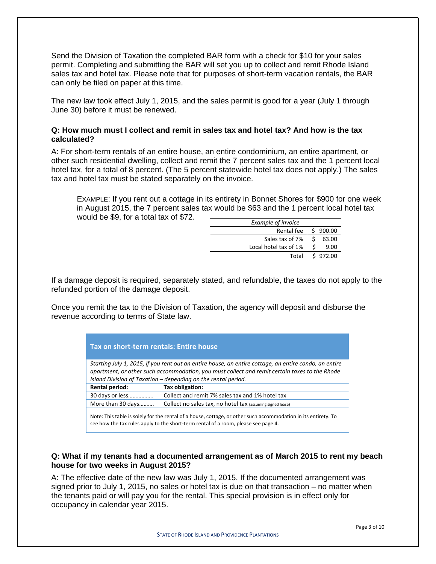Send the Division of Taxation the completed BAR form with a check for \$10 for your sales permit. Completing and submitting the BAR will set you up to collect and remit Rhode Island sales tax and hotel tax. Please note that for purposes of short-term vacation rentals, the BAR can only be filed on paper at this time.

The new law took effect July 1, 2015, and the sales permit is good for a year (July 1 through June 30) before it must be renewed.

#### **Q: How much must I collect and remit in sales tax and hotel tax? And how is the tax calculated?**

A: For short-term rentals of an entire house, an entire condominium, an entire apartment, or other such residential dwelling, collect and remit the 7 percent sales tax and the 1 percent local hotel tax, for a total of 8 percent. (The 5 percent statewide hotel tax does not apply.) The sales tax and hotel tax must be stated separately on the invoice.

EXAMPLE: If you rent out a cottage in its entirety in Bonnet Shores for \$900 for one week in August 2015, the 7 percent sales tax would be \$63 and the 1 percent local hotel tax would be \$9, for a total tax of \$72.

| <b>Example of invoice</b> |          |
|---------------------------|----------|
| Rental fee                | \$900.00 |
| Sales tax of 7%           | 63.00    |
| Local hotel tax of 1%     | 9.00     |
| Total                     | \$972.00 |

If a damage deposit is required, separately stated, and refundable, the taxes do not apply to the refunded portion of the damage deposit.

Once you remit the tax to the Division of Taxation, the agency will deposit and disburse the revenue according to terms of State law.

| Tax on short-term rentals: Entire house                                                                                                                                                                                                                                 |                                                            |  |  |  |
|-------------------------------------------------------------------------------------------------------------------------------------------------------------------------------------------------------------------------------------------------------------------------|------------------------------------------------------------|--|--|--|
| Starting July 1, 2015, if you rent out an entire house, an entire cottage, an entire condo, an entire<br>apartment, or other such accommodation, you must collect and remit certain taxes to the Rhode<br>Island Division of Taxation – depending on the rental period. |                                                            |  |  |  |
| Rental period:                                                                                                                                                                                                                                                          | Tax obligation:                                            |  |  |  |
| 30 days or less                                                                                                                                                                                                                                                         | Collect and remit 7% sales tax and 1% hotel tax            |  |  |  |
| More than 30 days                                                                                                                                                                                                                                                       | Collect no sales tax, no hotel tax (assuming signed lease) |  |  |  |
| Note: This table is solely for the rental of a house, cottage, or other such accommodation in its entirety. To<br>see how the tax rules apply to the short-term rental of a room, please see page 4.                                                                    |                                                            |  |  |  |

# **Q: What if my tenants had a documented arrangement as of March 2015 to rent my beach house for two weeks in August 2015?**

A: The effective date of the new law was July 1, 2015. If the documented arrangement was signed prior to July 1, 2015, no sales or hotel tax is due on that transaction – no matter when the tenants paid or will pay you for the rental. This special provision is in effect only for occupancy in calendar year 2015.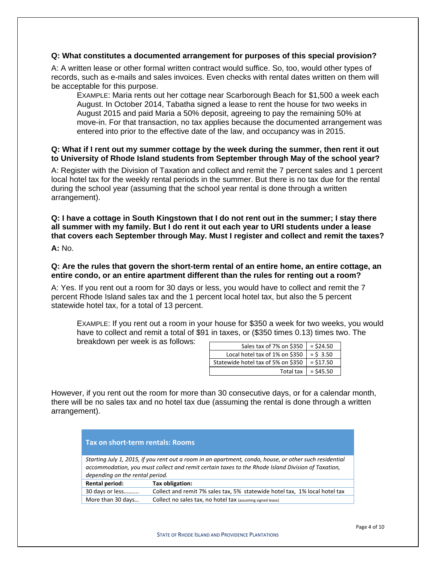#### **Q: What constitutes a documented arrangement for purposes of this special provision?**

A: A written lease or other formal written contract would suffice. So, too, would other types of records, such as e-mails and sales invoices. Even checks with rental dates written on them will be acceptable for this purpose.

EXAMPLE: Maria rents out her cottage near Scarborough Beach for \$1,500 a week each August. In October 2014, Tabatha signed a lease to rent the house for two weeks in August 2015 and paid Maria a 50% deposit, agreeing to pay the remaining 50% at move-in. For that transaction, no tax applies because the documented arrangement was entered into prior to the effective date of the law, and occupancy was in 2015.

#### **Q: What if I rent out my summer cottage by the week during the summer, then rent it out to University of Rhode Island students from September through May of the school year?**

A: Register with the Division of Taxation and collect and remit the 7 percent sales and 1 percent local hotel tax for the weekly rental periods in the summer. But there is no tax due for the rental during the school year (assuming that the school year rental is done through a written arrangement).

# **Q: I have a cottage in South Kingstown that I do not rent out in the summer; I stay there all summer with my family. But I do rent it out each year to URI students under a lease that covers each September through May. Must I register and collect and remit the taxes?**

**A:** No.

# **Q: Are the rules that govern the short-term rental of an entire home, an entire cottage, an entire condo, or an entire apartment different than the rules for renting out a room?**

A: Yes. If you rent out a room for 30 days or less, you would have to collect and remit the 7 percent Rhode Island sales tax and the 1 percent local hotel tax, but also the 5 percent statewide hotel tax, for a total of 13 percent.

EXAMPLE: If you rent out a room in your house for \$350 a week for two weeks, you would have to collect and remit a total of \$91 in taxes, or (\$350 times 0.13) times two. The breakdown per week is as follows:

| Sales tax of 7% on \$350 $ $ = \$24.50               |                      |
|------------------------------------------------------|----------------------|
| Local hotel tax of 1% on \$350 $\vert$ = \$ 3.50     |                      |
| Statewide hotel tax of 5% on \$350 $\vert$ = \$17.50 |                      |
|                                                      | Total tax $= $45.50$ |

However, if you rent out the room for more than 30 consecutive days, or for a calendar month, there will be no sales tax and no hotel tax due (assuming the rental is done through a written arrangement).

| Tax on short-term rentals: Rooms                                                                                                                                                                                                               |                                                                            |  |  |  |  |
|------------------------------------------------------------------------------------------------------------------------------------------------------------------------------------------------------------------------------------------------|----------------------------------------------------------------------------|--|--|--|--|
| Starting July 1, 2015, if you rent out a room in an apartment, condo, house, or other such residential<br>accommodation, you must collect and remit certain taxes to the Rhode Island Division of Taxation,<br>depending on the rental period. |                                                                            |  |  |  |  |
| Rental period:                                                                                                                                                                                                                                 | Tax obligation:                                                            |  |  |  |  |
| 30 days or less                                                                                                                                                                                                                                | Collect and remit 7% sales tax, 5% statewide hotel tax, 1% local hotel tax |  |  |  |  |
| More than 30 days                                                                                                                                                                                                                              | Collect no sales tax, no hotel tax (assuming signed lease)                 |  |  |  |  |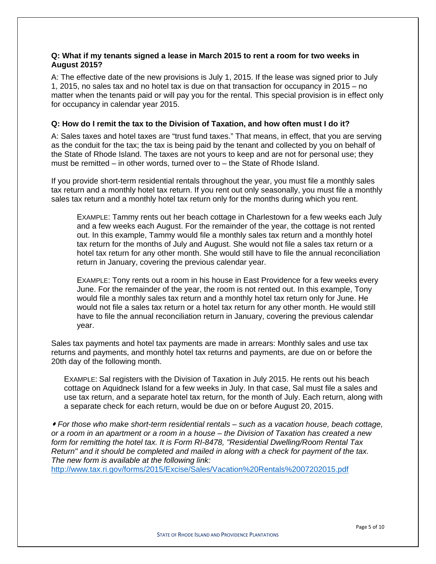#### **Q: What if my tenants signed a lease in March 2015 to rent a room for two weeks in August 2015?**

A: The effective date of the new provisions is July 1, 2015. If the lease was signed prior to July 1, 2015, no sales tax and no hotel tax is due on that transaction for occupancy in 2015 – no matter when the tenants paid or will pay you for the rental. This special provision is in effect only for occupancy in calendar year 2015.

#### **Q: How do I remit the tax to the Division of Taxation, and how often must I do it?**

A: Sales taxes and hotel taxes are "trust fund taxes." That means, in effect, that you are serving as the conduit for the tax; the tax is being paid by the tenant and collected by you on behalf of the State of Rhode Island. The taxes are not yours to keep and are not for personal use; they must be remitted – in other words, turned over to – the State of Rhode Island.

If you provide short-term residential rentals throughout the year, you must file a monthly sales tax return and a monthly hotel tax return. If you rent out only seasonally, you must file a monthly sales tax return and a monthly hotel tax return only for the months during which you rent.

EXAMPLE: Tammy rents out her beach cottage in Charlestown for a few weeks each July and a few weeks each August. For the remainder of the year, the cottage is not rented out. In this example, Tammy would file a monthly sales tax return and a monthly hotel tax return for the months of July and August. She would not file a sales tax return or a hotel tax return for any other month. She would still have to file the annual reconciliation return in January, covering the previous calendar year.

EXAMPLE: Tony rents out a room in his house in East Providence for a few weeks every June. For the remainder of the year, the room is not rented out. In this example, Tony would file a monthly sales tax return and a monthly hotel tax return only for June. He would not file a sales tax return or a hotel tax return for any other month. He would still have to file the annual reconciliation return in January, covering the previous calendar year.

Sales tax payments and hotel tax payments are made in arrears: Monthly sales and use tax returns and payments, and monthly hotel tax returns and payments, are due on or before the 20th day of the following month.

EXAMPLE: Sal registers with the Division of Taxation in July 2015. He rents out his beach cottage on Aquidneck Island for a few weeks in July. In that case, Sal must file a sales and use tax return, and a separate hotel tax return, for the month of July. Each return, along with a separate check for each return, would be due on or before August 20, 2015.

 *For those who make short-term residential rentals – such as a vacation house, beach cottage, or a room in an apartment or a room in a house – the Division of Taxation has created a new form for remitting the hotel tax. It is Form RI-8478, "Residential Dwelling/Room Rental Tax Return" and it should be completed and mailed in along with a check for payment of the tax. The new form is available at the following link:* 

http://www.tax.ri.gov/forms/2015/Excise/Sales/Vacation%20Rentals%2007202015.pdf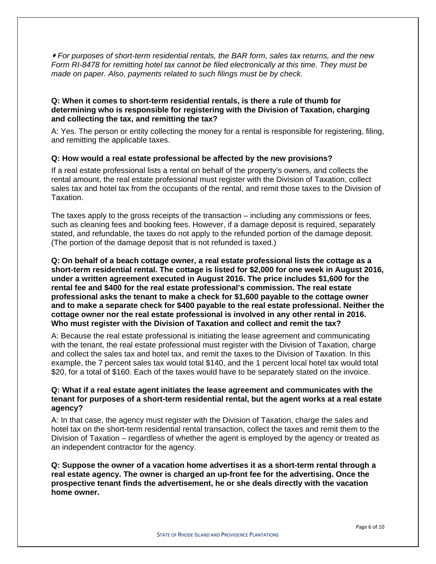*For purposes of short-term residential rentals, the BAR form, sales tax returns, and the new Form RI-8478 for remitting hotel tax cannot be filed electronically at this time. They must be made on paper. Also, payments related to such filings must be by check.* 

#### **Q: When it comes to short-term residential rentals, is there a rule of thumb for determining who is responsible for registering with the Division of Taxation, charging and collecting the tax, and remitting the tax?**

A: Yes. The person or entity collecting the money for a rental is responsible for registering, filing, and remitting the applicable taxes.

# **Q: How would a real estate professional be affected by the new provisions?**

If a real estate professional lists a rental on behalf of the property's owners, and collects the rental amount, the real estate professional must register with the Division of Taxation, collect sales tax and hotel tax from the occupants of the rental, and remit those taxes to the Division of Taxation.

The taxes apply to the gross receipts of the transaction – including any commissions or fees, such as cleaning fees and booking fees. However, if a damage deposit is required, separately stated, and refundable, the taxes do not apply to the refunded portion of the damage deposit. (The portion of the damage deposit that is not refunded is taxed.)

**Q: On behalf of a beach cottage owner, a real estate professional lists the cottage as a short-term residential rental. The cottage is listed for \$2,000 for one week in August 2016, under a written agreement executed in August 2016. The price includes \$1,600 for the rental fee and \$400 for the real estate professional's commission. The real estate professional asks the tenant to make a check for \$1,600 payable to the cottage owner and to make a separate check for \$400 payable to the real estate professional. Neither the cottage owner nor the real estate professional is involved in any other rental in 2016. Who must register with the Division of Taxation and collect and remit the tax?** 

A: Because the real estate professional is initiating the lease agreement and communicating with the tenant, the real estate professional must register with the Division of Taxation, charge and collect the sales tax and hotel tax, and remit the taxes to the Division of Taxation. In this example, the 7 percent sales tax would total \$140, and the 1 percent local hotel tax would total \$20, for a total of \$160. Each of the taxes would have to be separately stated on the invoice.

#### **Q: What if a real estate agent initiates the lease agreement and communicates with the tenant for purposes of a short-term residential rental, but the agent works at a real estate agency?**

A: In that case, the agency must register with the Division of Taxation, charge the sales and hotel tax on the short-term residential rental transaction, collect the taxes and remit them to the Division of Taxation – regardless of whether the agent is employed by the agency or treated as an independent contractor for the agency.

**Q: Suppose the owner of a vacation home advertises it as a short-term rental through a real estate agency. The owner is charged an up-front fee for the advertising. Once the prospective tenant finds the advertisement, he or she deals directly with the vacation home owner.**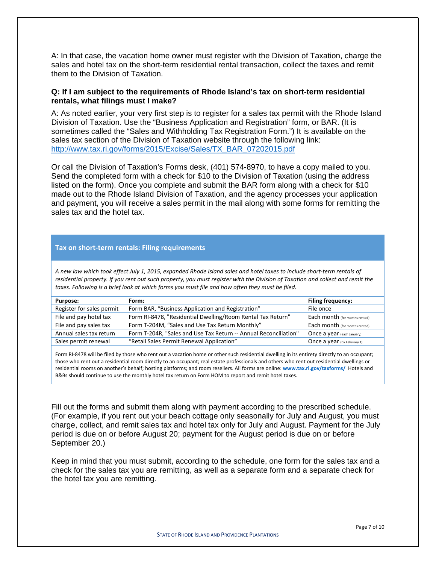A: In that case, the vacation home owner must register with the Division of Taxation, charge the sales and hotel tax on the short-term residential rental transaction, collect the taxes and remit them to the Division of Taxation.

#### **Q: If I am subject to the requirements of Rhode Island's tax on short-term residential rentals, what filings must I make?**

A: As noted earlier, your very first step is to register for a sales tax permit with the Rhode Island Division of Taxation. Use the "Business Application and Registration" form, or BAR. (It is sometimes called the "Sales and Withholding Tax Registration Form.") It is available on the sales tax section of the Division of Taxation website through the following link: http://www.tax.ri.gov/forms/2015/Excise/Sales/TX\_BAR\_07202015.pdf

Or call the Division of Taxation's Forms desk, (401) 574-8970, to have a copy mailed to you. Send the completed form with a check for \$10 to the Division of Taxation (using the address listed on the form). Once you complete and submit the BAR form along with a check for \$10 made out to the Rhode Island Division of Taxation, and the agency processes your application and payment, you will receive a sales permit in the mail along with some forms for remitting the sales tax and the hotel tax.

#### **Tax on short‐term rentals: Filing requirements**

A new law which took effect July 1, 2015, expanded Rhode Island sales and hotel taxes to include short-term rentals of residential property. If you rent out such property, you must register with the Division of Taxation and collect and remit the taxes. Following is a brief look at which forms you must file and how often they must be filed.

| Purpose:                  | Form:                                                            | <b>Filing frequency:</b>       |
|---------------------------|------------------------------------------------------------------|--------------------------------|
| Register for sales permit | Form BAR, "Business Application and Registration"                | File once                      |
| File and pay hotel tax    | Form RI-8478, "Residential Dwelling/Room Rental Tax Return"      | Each month (for months rented) |
| File and pay sales tax    | Form T-204M, "Sales and Use Tax Return Monthly"                  | Each month (for months rented) |
| Annual sales tax return   | Form T-204R, "Sales and Use Tax Return -- Annual Reconciliation" | Once a year (each January)     |
| Sales permit renewal      | "Retail Sales Permit Renewal Application"                        | Once a year (by February 1)    |

Form RI‐8478 will be filed by those who rent out a vacation home or other such residential dwelling in its entirety directly to an occupant; those who rent out a residential room directly to an occupant; real estate professionals and others who rent out residential dwellings or residential rooms on another's behalf; hosting platforms; and room resellers. All forms are online: **www.tax.ri.gov/taxforms/** Hotels and B&Bs should continue to use the monthly hotel tax return on Form HOM to report and remit hotel taxes.

Fill out the forms and submit them along with payment according to the prescribed schedule. (For example, if you rent out your beach cottage only seasonally for July and August, you must charge, collect, and remit sales tax and hotel tax only for July and August. Payment for the July period is due on or before August 20; payment for the August period is due on or before September 20.)

Keep in mind that you must submit, according to the schedule, one form for the sales tax and a check for the sales tax you are remitting, as well as a separate form and a separate check for the hotel tax you are remitting.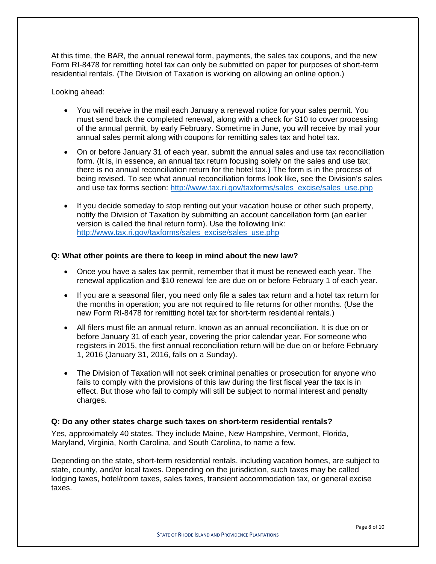At this time, the BAR, the annual renewal form, payments, the sales tax coupons, and the new Form RI-8478 for remitting hotel tax can only be submitted on paper for purposes of short-term residential rentals. (The Division of Taxation is working on allowing an online option.)

Looking ahead:

- You will receive in the mail each January a renewal notice for your sales permit. You must send back the completed renewal, along with a check for \$10 to cover processing of the annual permit, by early February. Sometime in June, you will receive by mail your annual sales permit along with coupons for remitting sales tax and hotel tax.
- On or before January 31 of each year, submit the annual sales and use tax reconciliation form. (It is, in essence, an annual tax return focusing solely on the sales and use tax; there is no annual reconciliation return for the hotel tax.) The form is in the process of being revised. To see what annual reconciliation forms look like, see the Division's sales and use tax forms section: http://www.tax.ri.gov/taxforms/sales\_excise/sales\_use.php
- If you decide someday to stop renting out your vacation house or other such property, notify the Division of Taxation by submitting an account cancellation form (an earlier version is called the final return form). Use the following link: http://www.tax.ri.gov/taxforms/sales\_excise/sales\_use.php

#### **Q: What other points are there to keep in mind about the new law?**

- Once you have a sales tax permit, remember that it must be renewed each year. The renewal application and \$10 renewal fee are due on or before February 1 of each year.
- If you are a seasonal filer, you need only file a sales tax return and a hotel tax return for the months in operation; you are not required to file returns for other months. (Use the new Form RI-8478 for remitting hotel tax for short-term residential rentals.)
- All filers must file an annual return, known as an annual reconciliation. It is due on or before January 31 of each year, covering the prior calendar year. For someone who registers in 2015, the first annual reconciliation return will be due on or before February 1, 2016 (January 31, 2016, falls on a Sunday).
- The Division of Taxation will not seek criminal penalties or prosecution for anyone who fails to comply with the provisions of this law during the first fiscal year the tax is in effect. But those who fail to comply will still be subject to normal interest and penalty charges.

#### **Q: Do any other states charge such taxes on short-term residential rentals?**

Yes, approximately 40 states. They include Maine, New Hampshire, Vermont, Florida, Maryland, Virginia, North Carolina, and South Carolina, to name a few.

Depending on the state, short-term residential rentals, including vacation homes, are subject to state, county, and/or local taxes. Depending on the jurisdiction, such taxes may be called lodging taxes, hotel/room taxes, sales taxes, transient accommodation tax, or general excise taxes.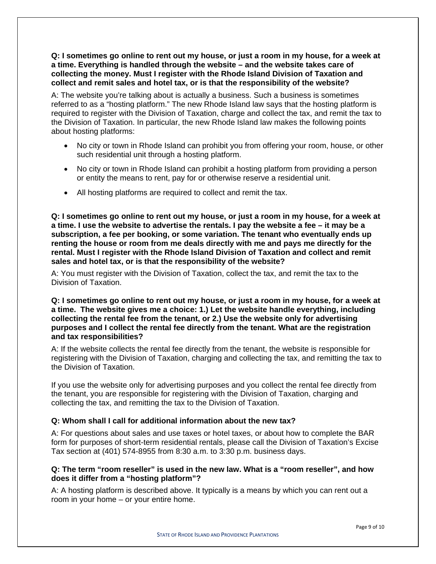**Q: I sometimes go online to rent out my house, or just a room in my house, for a week at a time. Everything is handled through the website – and the website takes care of collecting the money. Must I register with the Rhode Island Division of Taxation and collect and remit sales and hotel tax, or is that the responsibility of the website?** 

A: The website you're talking about is actually a business. Such a business is sometimes referred to as a "hosting platform." The new Rhode Island law says that the hosting platform is required to register with the Division of Taxation, charge and collect the tax, and remit the tax to the Division of Taxation. In particular, the new Rhode Island law makes the following points about hosting platforms:

- No city or town in Rhode Island can prohibit you from offering your room, house, or other such residential unit through a hosting platform.
- No city or town in Rhode Island can prohibit a hosting platform from providing a person or entity the means to rent, pay for or otherwise reserve a residential unit.
- All hosting platforms are required to collect and remit the tax.

**Q: I sometimes go online to rent out my house, or just a room in my house, for a week at a time. I use the website to advertise the rentals. I pay the website a fee – it may be a subscription, a fee per booking, or some variation. The tenant who eventually ends up renting the house or room from me deals directly with me and pays me directly for the rental. Must I register with the Rhode Island Division of Taxation and collect and remit sales and hotel tax, or is that the responsibility of the website?** 

A: You must register with the Division of Taxation, collect the tax, and remit the tax to the Division of Taxation.

**Q: I sometimes go online to rent out my house, or just a room in my house, for a week at a time. The website gives me a choice: 1.) Let the website handle everything, including collecting the rental fee from the tenant, or 2.) Use the website only for advertising purposes and I collect the rental fee directly from the tenant. What are the registration and tax responsibilities?** 

A: If the website collects the rental fee directly from the tenant, the website is responsible for registering with the Division of Taxation, charging and collecting the tax, and remitting the tax to the Division of Taxation.

If you use the website only for advertising purposes and you collect the rental fee directly from the tenant, you are responsible for registering with the Division of Taxation, charging and collecting the tax, and remitting the tax to the Division of Taxation.

#### **Q: Whom shall I call for additional information about the new tax?**

A: For questions about sales and use taxes or hotel taxes, or about how to complete the BAR form for purposes of short-term residential rentals, please call the Division of Taxation's Excise Tax section at (401) 574-8955 from 8:30 a.m. to 3:30 p.m. business days.

# **Q: The term "room reseller" is used in the new law. What is a "room reseller", and how does it differ from a "hosting platform"?**

A: A hosting platform is described above. It typically is a means by which you can rent out a room in your home – or your entire home.